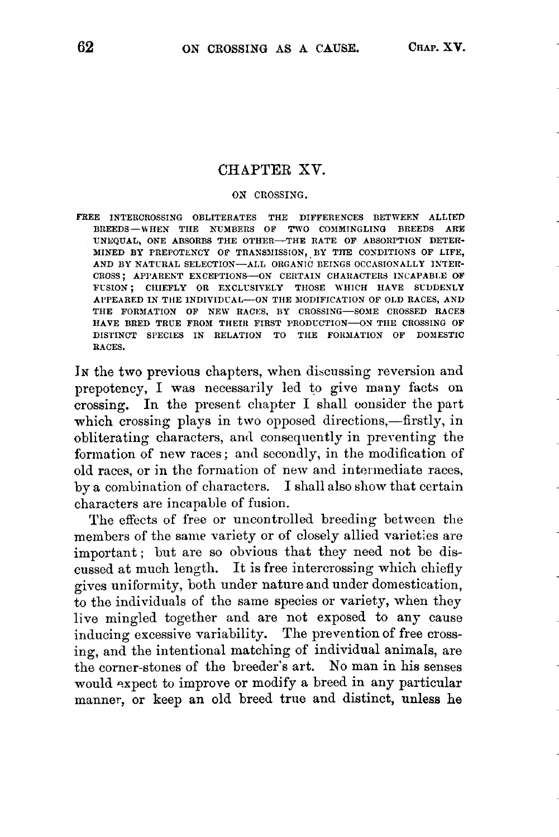## CHAPTER XV.

## **OX CROSSING.**

FREE INTERCROSSING OBLITERATES THE DIFFERENCES BETWEEN ALLIED BREEDS-WHEN THE NUMBERS OF TWO COMMINGLING BREEDS ARE UNEQUAL, ONE ABSORBS THE OTHER-THE RATE **OF** ABSORPTION DETER-MINED BY PREPOTENCY OF TRANSMISSION, BY THE CONDITIONS OF LIFE, AND BY NATURAL SELECTION-ALL ORGANIC BEINGS OCCASIONALLY INTER-CROSS; APPARENT EXCEPTIONS-ON CERTAIN CHARACTERS INCAPABLE OF FUSION: CHIEFLY OR EXCLUSIVELY THOSE WHICH HAVE SUDDENLY APPEARED IN THE INDIVIDUAL-ON THE MODIFICATION OF OLD RACES, AND THE FORMATION OF NEW RACES, BY CROSSING-SOME CROSSED RACES HAVE BRED TRUE FROM THEIR FIRST PRODUCTION-OX THE CROSSING OF DISTINCT SPECIES IN RELATION TO THE FORMATION OF DOMESTIC RACES.

In the two previous chapters, when discussing reversion and prepotency, I was necessarily led to give many facts on crossing. In the present chapter I shall consider the part which crossing plays in two opposed directions,-firstly, in obliterating characters, and consequently in prerenting the formation of new races ; and secondly, in the modification of old races, or in thc formation of new and intermediate races, by a combination of characters. I shall also show that certain characters are incapable of fusion.

The effects of free or uncontrolled breeding between the members of the same variety or of closely allied varieties are important; but are so obvious that they need not be discussed at much length. It is free intercrossing which chiefly gives uniformity, both under nature and under domestication. to the individuals of the same species or variety, when they live mingled together and are not exposed to any cause inducing excessive variability. The prevention of free crossing, and the intentional matching of individual animals, are the corner-stones of the breeder's art. No man in his senses would expect to improve or modify a breed in any particular manner, or keep an old breed true and distinct, **unless** he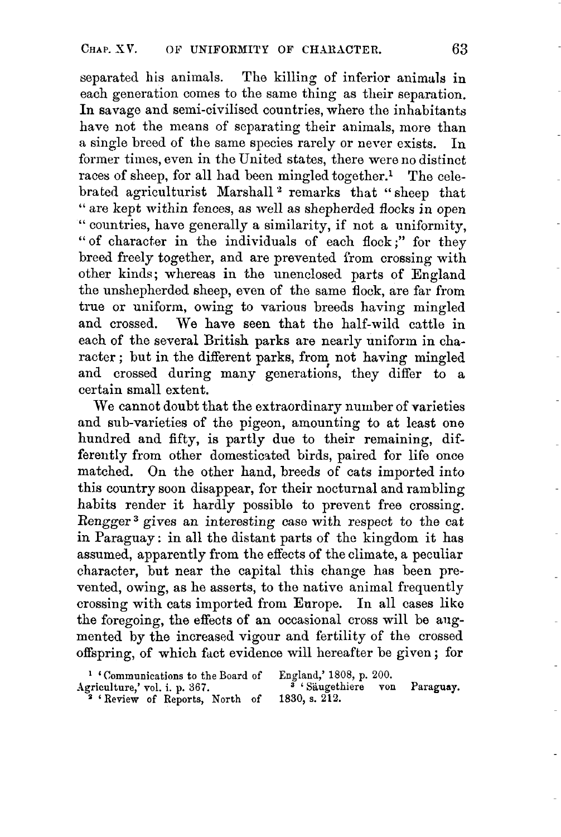separated his animals. The killing of inferior animals in each generation comes to the same thing as their separation. In savage and semi-civilised countries, where the inhabitants have not the means of separating their animals, more than a single breed of the same species rarely or never exists. In former times, even in the United states, there were no distinct races of sheep, for all had been mingled together.' The celebrated agriculturist Marshall<sup>2</sup> remarks that "sheep that " are kept within fences, as well *as* shepherded flocks in open " countries, have generally a similarity, if not a uniformity, "of character in the individuals of each flock;" for they breed freely together, and are prevented from crossing with other kinds; whereas in the unenclosed parts of England the unshepherded sheep, even of the same flock, are far from true or uniform, owing to various breeds having mingled and crossed. We have seen that the half-wild cattle in each of the several British parks are nearly uniform in character; but in the different parks, from not having mingled and crossed during many generations, they differ to a certain small extent.

We cannot doubt that the extraordinary number of varieties and sub-varieties of the pigeon, amounting to at least one hundred and fifty, is partly due to their remaining, differently from other domesticated birds, paired for life once matched. On the other hand, breeds of cats imported into this country soon disappear, for their nocturnal and rambling habits render it hardly possible to prevent free crossing. Rengger3 gives an interesting case with respect to the cat in Paraguay: in all the distant parts of the kingdom it has assumed, apparently from the effects of the climate, a peculiar character, but near the capital this change has been prevented, owing, as he asserts, to the native animal frequently crossing with cats imported from Earope. In all cases liko the foregoing, the effects of an occasional cross will be angmented by the increased vigour and fertility of the crossed offspring, of which fact evidence will hereafter be given ; for

Agriculture,' **vol.** i. p. **367. 3** ' Saugethiere von Paraguay. ' Communications to the Board of 'Review **of** Reports, North of 1830, **s. 212.**  England,' **1808,** p. **200.**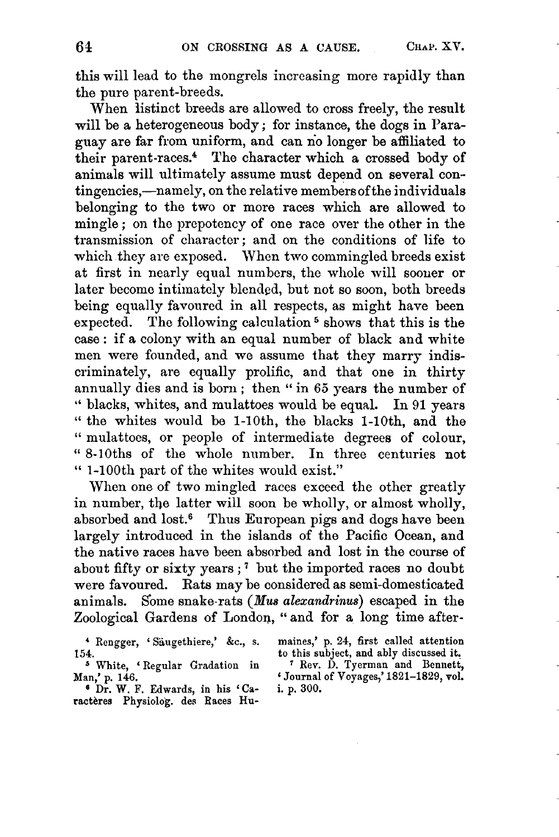this will lead to the mongrels increasing more rapidly than the pure parent-breeds.

When listinct breeds are allowed to cross freely, the result will be **a** heterogeneous body ; for instance, the dogs in Paraguay are far from uniform, and can **no** longer be affiliated to their parent-races.4 The character which **a** crossed body of animals will ultimately assume must depend on several contingencies,—namely, on the relative members of the individuals belonging to the two or more races which are allowed to mingle; on the prepotency of one race over the other in the transmission of character; and on the conditions of life to which they are exposed. When two commingled breeds exist at first in nearly equal numbers, the whole will sooner or later become intimately blended, but not so soon, both breeds being equally favoured in all respects, as might have been expected. The following calculation<sup>5</sup> shows that this is the case : if **a** colony with an equal number of black and white men were founded, and we assume that they marry indiscriminately, are equally prolific, and that one in thirty annually dies and is born ; then " in **66** years the number of " blacks, whites, and mulattoes would be equal. In 91 years " the whites would be 1-loth, the blacks 1-loth, and the " mulattoes, or people of intermediate degrees of colour, " 8-10ths of the whole number. In three centuries not " 1-100th part of the whites would exist."

When one of two mingled races exceed the other greatly in number, the latter will soon be wholly, or almost wholly, absorbed and lost.<sup>6</sup> Thus European pigs and dogs have been largely introduced in the islands of the Pacific Ocean, and the native races have been absorbed and lost in the course of about fifty or sixty years;<sup> $7$ </sup> but the imported races no doubt were favoured. Rats may be considered as semi-domesticated animals. Some snake-rats *(Mus alexandrinus)* escaped in the Zoological Gardens of London, " and for **a** long time after-

<sup>6</sup> Dr. W. F. Edwards, in his 'Ca**ractbres Physiolog. des Races Hu-** 

**<sup>4</sup>Rengger,** ' **Skugethiere,'** *&c.,* s. **maines,' p. 24, first called attention**  154. to this subject, and ably discussed it.<br>
<sup>5</sup> White, 'Regular Gradation in <sup>7</sup> Rev. D. Tyerman and Bennett,

**Man,' p. 146. 6 Journal of Voyages,' 1821-1829, vol.**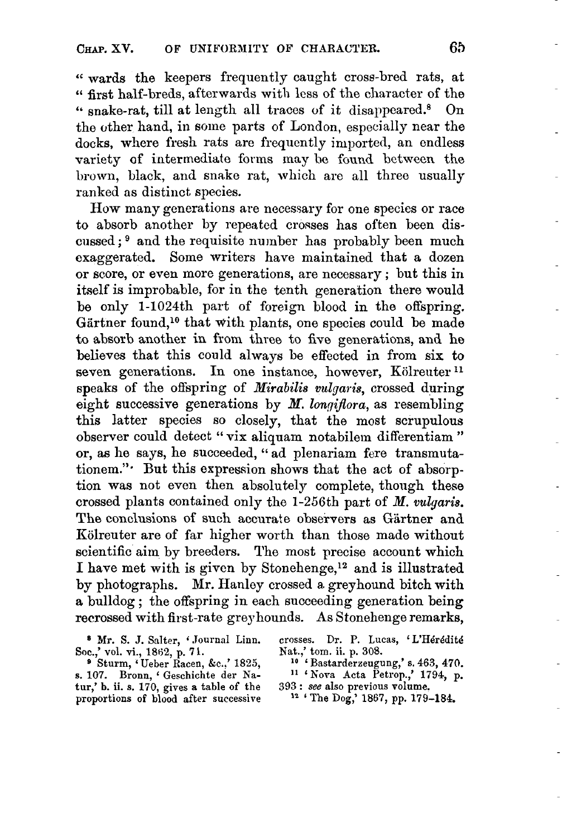**6'** wards the keepers frequently caught cross-bred rats, at **6'** first half-breds, afterwards with less of the character of the " snake-rat, till at length all traces of it disappeared.<sup>8</sup> On the other hand, in some parts of London, especially near the docks, where fresh rats are frequently imported, an endless variety of intermediate forms may be found between the brown, black, and snake rat, which are all three usually ranked **as** distinct, species.

How many generations are necessary for one species or race to absorb another by repeated crosses has often been discussed;<sup>9</sup> and the requisite number has probably been much exaggerated. Some writers have maintained that a dozen or score, or even more generations, are necessary ; but this in itself is improbable, for in the tenth generation there would be only 1-1024th part of foreign blood in the offspring. Gärtner found,<sup>10</sup> that with plants, one species could be made to absorb another in from three to five generations, and he believes that this could always be effected in from six to seven generations. In one instance, however, Kölreuter<sup>11</sup> speaks of the offspring of *Mirabilis vulgaris,* crossed during eight successive generations by *M. longiflora,* as resembling this latter species *so* closely, that the most scrupulous observer could detect " vix aliquam notabilem differentiam " or, **as** he says, he succeeded, " ad plenariam fere transmutationem."' But this expression shows that the act of absorption was not even then absolutely complete, though these crossed plants contained only the 1-256th part of *M. vulgaris.*  The conclusions of such accurate observers as Gärtner and Kölreuter are of far higher worth than those made without scientific aim by breeders. The most precise account which I have met with is given by Stonehenge,<sup>12</sup> and is illustrated by photographs. Mr. Hanley crossed **a,** greyhound bitch with a bulldog ; the offspring in each succeeding generation being recrossed with first-rate greyhounds. **As** Stonehenge remarks,

Soc.,' vol. vi., 1862, p. 71.<br>
<sup>9</sup> Sturm, 'Ueber Racen, &c.,' 1825,

**s. 107. Bronn, Geschichte der Na- l1 'Kova Acta Petrop.,' 1794, p. tur,' b. ii. s. 170, gives a table** of **the proportions of blood after successive** 

*<sup>8</sup>***Mr. S. J. Salter, Journal** Linn. **crosses. Dr. P. Lucas,** ' **L'Hdrddite** 

**Sturm,** ' **Ueber Racen,** *kc..'* **1825, lo** ' **Bastarderxeugung,' s. 463, 470. Hat.,' tom. ii. p. 308.** 

**<sup>393</sup>**: **see also previous volume.** 

**l2** ' **The** Dog,' **1867, pp. 179-184.**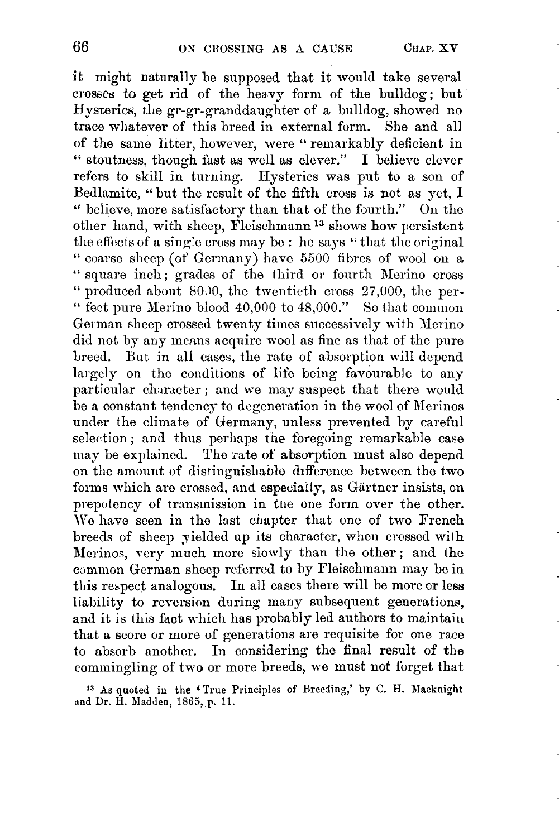it might naturally be supposed that it would take several crosses to get rid of the heavy form of the bulldog; but Hysterics, die gr-gr-granddaughter of a bulldog, showed no trace whatever of this breed in external form. She and all of the same litter, however, were '' remarkably deficient in " stoutness, though fast as well as clever." I believe clever refers to skill in turning. Hysterics was put to a son of Bedlamite, "but the result of the fifth cross is not as yet, I " believe, inore satisfactory than that of the fourth." On the other hand, with sheep, Fleischmann<sup>13</sup> shows how persistent the effects of a single cross may be : he says "that the original " coarse sheep (of Germany) have 5500 fibres of wool on a " square inch; grades of the third or fourth Merino cross " produced about  $8000$ , the twentieth cross 27,000, the per-" fect pure Merino blood  $40,000$  to  $48,000$ ." So that common German sheep crossed twenty times successively with Meiino did not by any means acquire wool as fine as that of the pure breed. But in all cases, the rate of absorption will depend largely on the conditions of life being favourable to any particular character ; and we may suspect that there would be a constant tendency to degeneration in the wool of Merinos under the climate of Germany, unless prevented by careful selection; and thus perhaps the foregoing remarkable case may be explained. The rate of absorption must also depend on the amount of distinguishable difference between the two forms which are crossed, and especially, as Gärtner insists, on prepotency of transmission in the one form over the other. We have seen in the last chapter that one of two French breeds of sheep yielded up its character, when crossed with Merinos, very much more siowly than the other; and the common German sheep referred to by Fleischmann may be in this respect analogous. In all cases theie will be more or less liability to reversion during many subsequent generations, and it is this fact which has probably led authors to maintain that a score or more of generations are requisite for one race to absorb another. In considering the final result of the commingling of two or more breeds, we must not forget that

**<sup>13</sup>As quoted** in **the 'True Principles of Breeding,'** by **C. H. Macknight and** Dr. **H. Madden, 1865, p. 11.**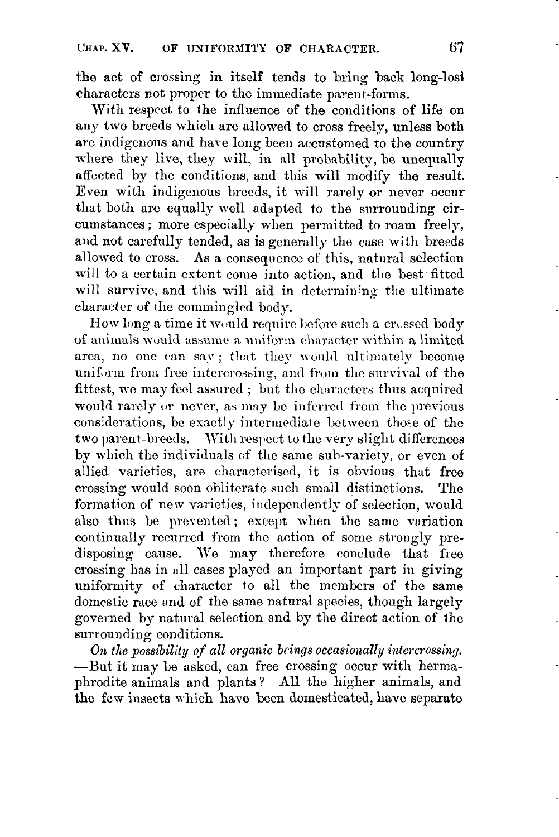the act of crossing in itself tends to bring back long-losl characters not proper to the immediate parent-forms.

With respect to the influence of the conditions of life on any two breeds which are allowed to cross freely, unless both are indigenous and have long been accustomed to the country where they live, they will, in all probability, be unequally affected by the conditions, and this will modify the result. Even with indigenous breeds, it will rarely or never occur that both are equally well adapted to the surrounding circumstances ; more especially when permitted to roam freely, and not carefully tended, as is generally the case with breeds allowed to cross. **As** a consequence of this, natural selection will to a certain extent come into action, and the best fitted will survive, and this will aid in determining the ultimate character of the commingled body.

How long a time it would require before such a crossed body of animals would assume a uniform character within a limited area, no one can say; that they would ultimately become uniform from free intercrossing, and from the survival of the fittest, we may feel assured; but the characters thus acquired would rarely or never, as may be inferred from the previous considerations, be exactly intermediate between those of the two parent-breeds. With respect to the very slight differences by which the individuals of the same sub-variety, or even of allied varieties, are characterised, it is obvious that free crossing would soon obliterate such small distinctions. The formation of new varieties, independently of selection, would also thus be prevented; except when the same variation continually recurred from the action of some stiongly predisposing cause. We may therefore conclude that free crossing has in all cases played an important part in giving uniformity of character to all the members of the same domestic race and of the same natural species, though largely governed by natural selection and by the direct action of ihe surrounding conditions.

*On the possibility of all organic bcings occasionally intercrossing.*  -But it may be asked, can free crossing occur with hermaphrodite animals and plants? All the higher animals, and the few insects which haye been domesticated, have separato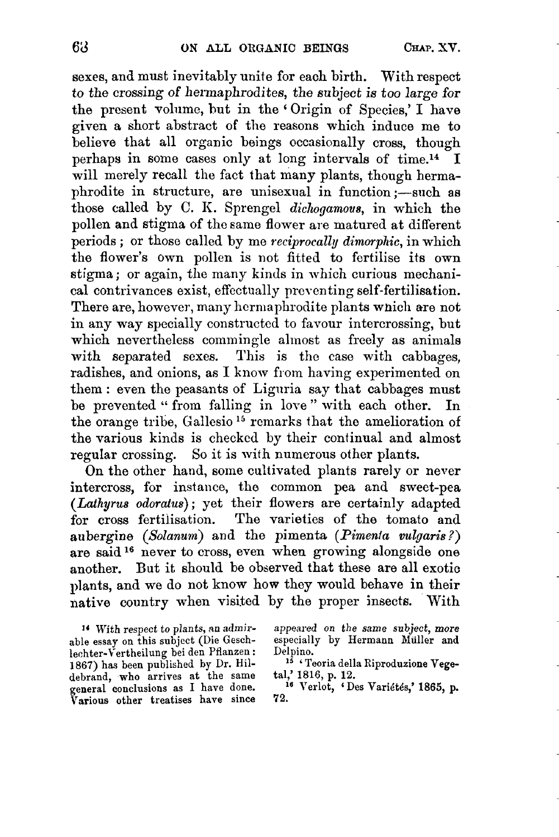sexes, and must inevitably unite for each birth. With respect *to* the crossing **of** hermaphrodites, the *subject* is too large *for*  the present volume, hut in the ' Origin of Species,' I have given a short abstract of the reasons which induce me to believe that all organic beings occasionally cross, though perhaps in some cases only at long intervals of time.<sup>14</sup> I will merely recall the fact that many plants, though hermaphrodite in structure, are unisexual in function ;- such as those called by *C. K. Sprengel dichogamous*, in which the pollen and stigma of the same flower are matured at different periods ; or those called by me *reciprocally dimorphic,* in which the flower's own pollen is not fitted to fertilise its own stigma ; or again, the many kinds in which curious mechanical contrivances exist, effectually preventing self-fertilisation. There are, however, many hermaphrodite plants wnich are not in any way specially constructed to favour intercrossing, but which nevertheless commingle almost as freely as animals with separated **sexes.** This is the case with cabbages, radishes, and onions, as I know from having experimented on them : even the peasants **of** Lignria say that cabbages must be prevented " from falling in love " with each other. In the orange tribe, Gallesio **l5** rcmarks that the amelioration of the various kinds is checked by their continual and almost regular crossing. So it is wifh numerous other plants.

On the other hand, some cultivated plants rarely or never intercross, for instance, the common pea and sweet-pea *(Lathyrus odoratus)* ; yet their flowers are certainly adapted for cross fertilisation. The varieties of the tomato and aubergine *(Sotanum)* and the pimenta *(Pimenta vulgaris* ?) are said **l6** never to cross, even when growing alongside one another. But it should be observed that these are all exotic plants, and we do not know how they would behave in their native country when visited by the proper insects. With

**14 With respect** to **plants, an admirable essay on this subject (Die Gesch-Iechter-Vertheilung bei den Pflanzen** : **1867) has been published by Dr. Hil**general conclusions as I have done. Various other treatises have since **appeared** *on* **the** *same* **subject,** *more*  **especially by Hermann Muller and Delpino.** 

**l5** ' **Teoria della Riproduzione Vegetal,'** 1816, p. **12.** 

<sup>16</sup> Verlot, 'Des Variétés,' 1865, p.<br>72.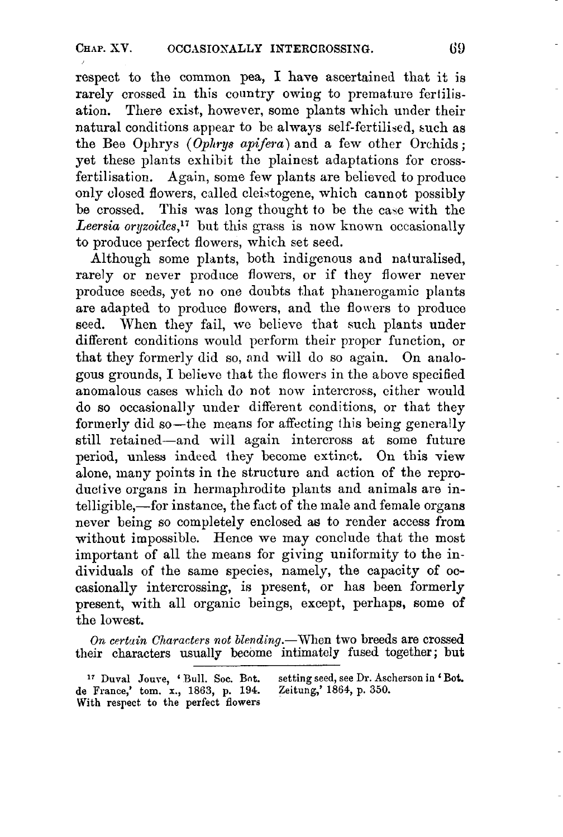respect to the common pea, I have ascertained that it is rarely crossed in this country owing to premature fertilisation. There exist, however, some plants which under their natural conditions appear to be always self-fertilised, such as the Bee Ophrys *(Ophrys apifera)* and a few other Orchids: yet these plants exhibit the plainest adaptations for crossfertilisation. Again, some few plants are believed to produce only dosed flowers, called cleistogene, which cannot possibly be crossed. This was long thought to be the case with the Leersia oryzoides,<sup>17</sup> but this grass is now known occasionally to produce perfect flowers, which set seed.

Although some plants, both indigenous and naturalised, rarely or never produce flowers, or if they flower never produce seeds, yet no one doubts that phanerogamic plants are adapted to produce flowers, and the flowers to produce seed. When they fail, we believe that such plants under different conditions would perform their proper function, or that they formerly did so, and will do so again. On analogous grounds, I believe that the flowers in the above specified anomalous cases which do not now intercross, either would do so occasionally under different conditions, or that they formerly did so—the means for affecting this being generally still retained-and will again intercross at some future period, unless indeed they become extinct. On this view alone, many points in the structure and action of the reproductive organs in hermaphrodite plants and animals are intelligible,—for instance, the fact of the male and female organs never being so completely enclosed as to render access from without impossible. Hence we may conclude that the most important of all the means for giving uniformity to the individuals of the same species, namely, the capacity of occasionally intercrossing, is present, or has been formerly present, with all organic beings, except, perhaps, some of the lowest.

On certain Characters not blending.-When two breeds are crossed their characters usually become intimately fused together ; **but** 

<sup>&</sup>lt;sup>17</sup> Duval Jouve, 'Bull. Soc. Bot. setting seed, see Dr. Ascherson in 'Bot. France,' tom. x., 1863, p. 194. Zeitung,' 1864, p. 350. **de France,' tom. x., 1863, p. 194. With respect, to the perfect flowers**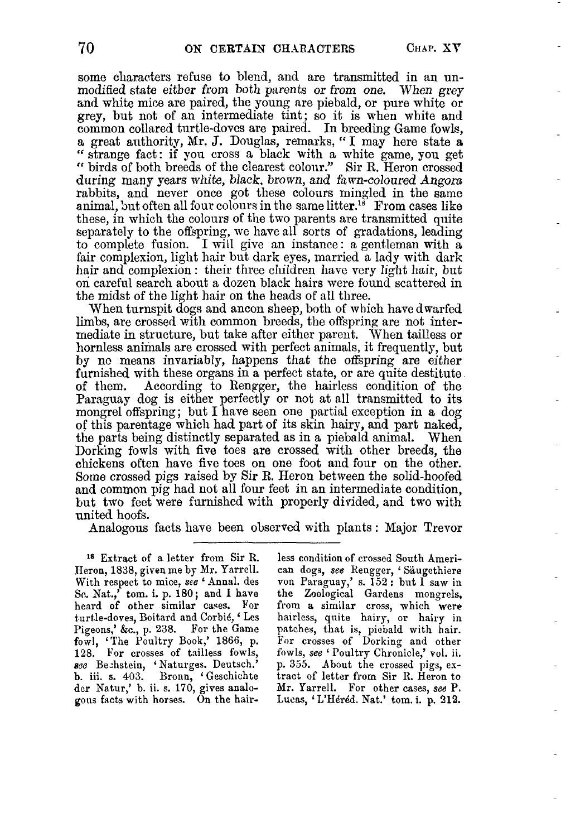some characters refuse to blend, and are transmitted in an unmodified state either from both parents or *from* one. When *grey*  and white mice are paired, the young are piebald, or pure white or grey, but not of an intermediate tint; so it is when white and common collared turtle-dovcs are paired. In breeding Game fowls, a great authority, **Nr.** J. Douglas, remarks, (' I may here state **<sup>a</sup>** strange fact: if you cross a black with a white game, you get (( birds of both breeds of the clearest colonr." Sir R. Heron crossed during many years white, black. *brown, and* fawn-coloured *Angora*  rabbits, and never once got these colours mingled in the same animal, but often all four colours in the same litter.<sup>18</sup> From cases like these, in which the colours of the two parents are transmitted quite separately to the offspring, we have all sorts of gradations, leading to complete fusion. I will give an instance : a gentleman with **<sup>a</sup>** fair complexion, light hair but dark eyes, married a lady with dark hair and complexion: their three children have very light hair, but on careful search about, a dozen black hairs mere found scattered in the midst of the light hair on the heads of all three.

When turnspit dogs and ancon sheep, both of which have dwarfed limbs, are crossed with common breeds, the offspring are not intermediate in structure, but take after either parent. When tailless or hornless animals are crossed with perfect animals, it frequently, but **by** nc means invariably, happens that the offspring are either furnished with these organs in a perfect state, or are **quite** destitute According to Rengger, the hairless condition of the Paraguay dog is either perfectly or not at **all** transmitted to its mongrel offspring; but I have seen one partial exception in a dog of this parentage which had part of its skin hairy, and part naked, the parts being distinctly separated as in a piebald animal. When Dorking fowls with five toes are crossed with other breeds, the chickens often have fiye toes on one foot and four on the other. Some crossed pigs raised by Sir R. Heron between the solid-hoofed and common pig had not all four feet in an intermediate condition, but two feet were furnished with properly divided, and two with united hoofs.

Analogous facts have been obscrved with plants : Major Trevor

**<sup>18</sup>**Extract of a letter from Sir R. Heron, **1838,** given me b7 Mr. Yarrell. With respect to mice, **see** ' Annal. des So. Nat.,' tom. i. **p.** <sup>180</sup>; and **I** have heard of other similar cases. For turtle-doves, Boitard and Corbi6, ' Les Pigeons,' *&c.,* p. **238.** For the Game fowl, 'The Poultry **Book,' 1866,** p. 128. For crosses of tailless fowls, 128. For crosses of tamess nowls,<br>see Beehstein, 'Naturges. Deutsch.' **b.** iii. s. **403.** Bronn, 'Geschichte der Natur,' b. ii. s. 170, gives analogous facts with horses. On the hair-

less condition of crossed South American dogs, *see* Kengger, ' Saugethiere **von** Paraguay,' s. 152: but **I saw** in the Zoological Gardens mongrels, from **a** similar cross, which were hairless, quite hairy, or hairy in patches, that is, piebald with hair. For crosses of Dorking and other fowls, see ' Poultry Chronicle,' vol. ii. p. *355.* About the crossed pigs, **ex**tract of letter from Sir R. Heron to Mr. Yarrell. For other cases, *see* **P.**  Lucas, 'L'Héréd. Nat.' tom. i. p. 212.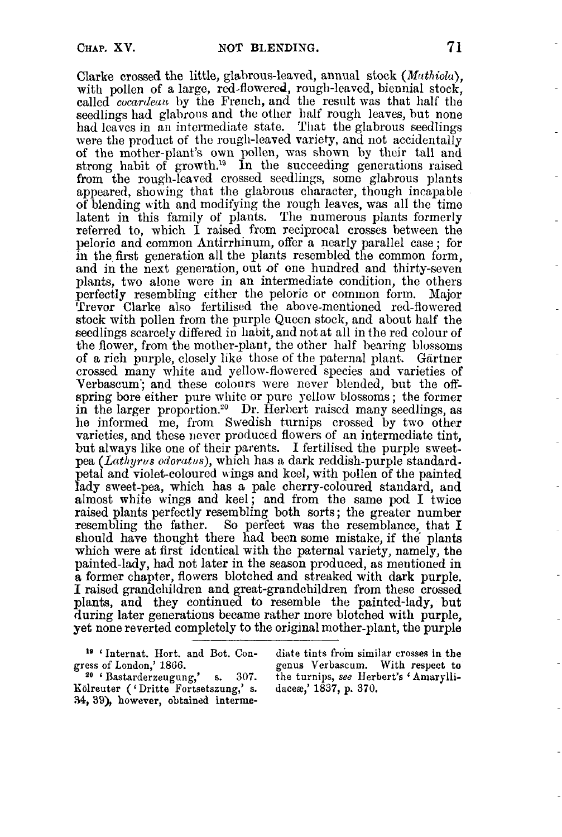Clarke crossed the little, glabrous-leaved, annual stock *(Muthiolu),*  with pollen of a large, red-flowered, rough-leaved, biennial stock, called *cocardeuu* by the French, and the result was that half the seedlings had glabrous and the other half rough leaves, but none had leaves in an intermediate state. That the glabrous seedlings were the product of the rough-leaved variety, and not accidentally of the mother-plant's own pollen, was shown by their tall and strong habit of growth.<sup>19</sup> In the succeeding generations raised from the rough-leaved crossed seedlings, some glabrous plants appeared, showing that the glabrous character, though incapable of blending with and modifying the rough leaves, was all the time latent in this family of plants. The numerous plants formerly referred to, which I raised from reciprocal crosses between the peloric and common hntirrhinurn, offer a nearly parallel case ; for in the fiist generation all the plants resembled the common form, and in the next generation, out of one hundred and thirty-seven plants, two alone were in an intermediate condition, the others perfectly resembling either the peloric or cominon form. Major Trevor Clarke also fertilised the above-mentioned red-flowred stock with pollen from the purple Queen stock, and about half the seedlings scarcely differed in habit, and not at all in the red colour of the flower, from the mother-plant, the other half bearing blossoms **of** a rich pnrple, closely like those of the paternal plant. Gartner crossed many white and yellow-flowercd species and varieties of Verbascum'; and these colours were never blended, but the ORspring bore either pure white or pure yellow blossoms; the former in the larger proportion.<sup>20</sup> Dr. Herbert raised many seedlings, as he informed me, from Swedish turnips crossed by two other varieties, and these never produced flowers of an intermediate tint, but always like one of their parents. I fertilised the purple sweetpea *(Lathyrus odoratus)*, which has a dark reddish-purple standardpetal and violet-coloured wings and keel, with pollen of the painted lady sweet-pea, which has a pale cherry-coloured standard, and almost white wings and keel; and from the same pod I twice raised plants perfectly resembling both sorts ; the greater number raised plants perfectly resembling bour sorts, the greater number<br>resembling the father. So perfect was the resemblance, that I should have thought there had been some mistake, if the plants which were at first identical with the paternal variety, namely, the painted-lady, had not later in the season produced, as mentioned in I raised grandchildren and great-grandchildren from these crossed plants, and they continued to resemble the painted-lady, but during later generations became rather more blotched with purple, yet none reverted completely to the original mother-plant, the purple

**lidreuter** ( ' **Dritte Fortsetszung,'** s. **34, 39), however, obtained interme-**

<sup>19</sup> 'Internat. Hort. and Bot. Con- diate tints from similar crosses in the gress of London,' 1866.<br>
genus Verbascum. With respect to **gress** of London,' **1866. genus Verbascum.** With **respect to**  s. 307. the turnips, see Herbert's 'Amarylli-**Jacez,' 1837,** p. **370.**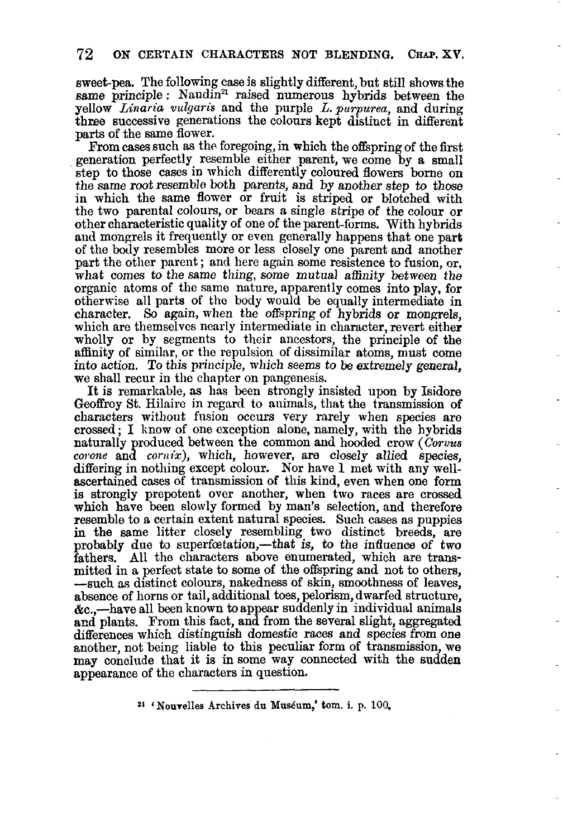sweet-pea. The following case js slightly different, but still shows the same principle :  $N$ audin<sup>21</sup> raised numerous hybrids between the yellow *Linaria vucqaris* and the purple *L.purpurea,* and during three successive generations the colours kept distinct in different parts of the same flower.

From cases such as the foregoing, in which the offspring of the first generation perfectly resemble either parent, we come by a small step to those cases in which differently coloured flowers borne on the same root resemble both parents, and **by** another step to those in which the same flower or fruit is striped or blotched with the two parental colours, or bears a single stripe of the colour **or**  other characteristic quality of one of the parent-forms. With hybrids and mongrels it frequently or even generally happens that one part of the **body** resembles more or less closely one parent and another part the other parent; and here again some resistence to fusion, or, what comes to the same thing, some mutual affinity between *the*  organic atoms of the same nature, apparently comes into play, for otherwise all parts of the body would be equally intermediate in character. *So* again, when the offspring of hybrids or mongrels, which are themselves nearly intermediate in character, revert either wholly or by segments to their ancestors, the principle of the affinity **of** similar, or tlic repulsion of dissimilar atoms, must come into action. To this principle, which seems to be extremely general, we shall recur in the chapter on pangenesis.

It is remarkable, as has been strongly insisted upon by Isidore Geoffroy St. Hilaire in regard to animals, that the transmission of characters without fusion occurs very rarely when species aro crossed ; I know of one exception alone, namely, with the hybrids naturally produced between the common and hooded crow *(Corvus corone* and *cornix*), which, however, are closely allied species, differing in nothing except colour. Nor have **1** met with any wellascertained cases of transmission **of** this kind, even when one form is strongly prepotent over another, when two races are crossed which have been slowly formed by man's selection, and therefore resemble to a certain extent natural species. Such cases as puppies in the same litter closely resembling two distinct breeds, are probably due to superfectation,—that is, to the influence of two fathers. All the characters above enumerated, which are transmitted in a perfect state to some **of** the offspring and not to others, -such as distinct colours, nakedness of skin, smoothness of leaves. absence of horns or tail, additional toes, pelorism, dwarfed structure, &c.,-have all **been** known to appear suddenly in individual animals and plants. From this fact, and from the several slight, aggregated differences which distinguish domestic races and species from one another, not being liable to this peculiar form **of** transmission, we may conclude that it **is** insome way connected with the sudden appearance of the Characters in question.

**<sup>21</sup>"ourelles -4rchives du Musdum,' tom. i.** p. **100.**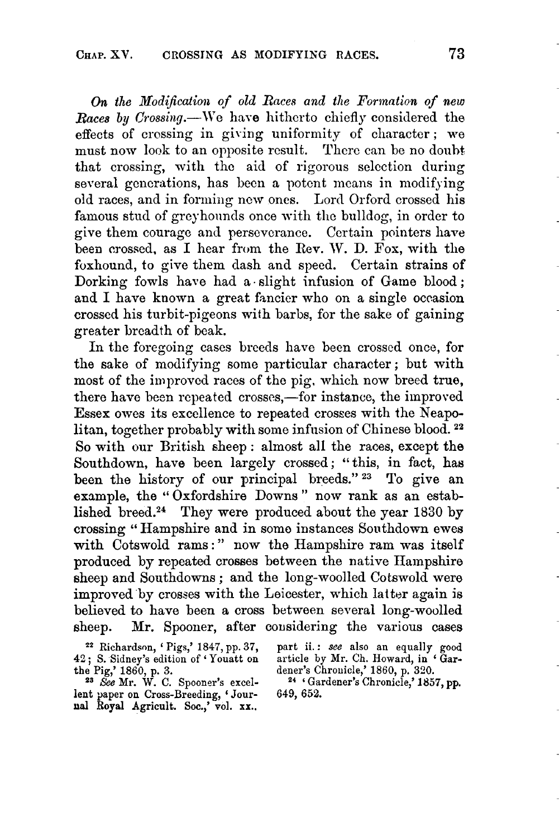*On the Modijicatioa of old Races and tlie Forinntion of new Races by Crossing.*—We have hitherto chiefly considered the effects of crossing in giving uniformity of character; we must now look to an opposite result. There can be no doubt that crossing, with the aid of rigorous selection during several generations, has been a potent means in modifying old races, and in formiiig new ones. Lord Orford crossed his famous stud of greyhounds once with the bulldog, in order to give them couragc and persevcrance. Certain pointers have been crossed, as I hear from the Rev. W. D. Fox, with the foxhound, to give them dash and speed. Certain strains of Dorking fowls have had a slight infusion of Game blood; and I have known a great fancier who on a single occasion crossed his turbit-pigeons with barbs, for the sake of gaining greater breadth of beak.

In the foregoing cases breeds have been crossed once, for the sake of modifying some particular character ; but with most of the improved races of the pig, which now breed true, there have been repeated crosses,—for instance, the improved Essex owes its excellence to repeated crosses with the Neapolitan, together probably with some infusion of Chinese blood. **<sup>22</sup>** So with our British sheep : almost all the races, except the Southdown, have been largely crossed; "this, in fact, hag been the history of our principal breeds."<sup>23</sup> To give an example, the "Oxfordshire Downs" now rank as an established breed.24 They were produced about the year **1830** by crossing " Hampshire and in somo instances Southdown ewes with Cotswold rams:" now the Hampshire ram was itself produced by repeated crosses between the native Rampshire sheep and Southdowns ; and the long-woolled Cotswold were improved by crosses with the Leicester, which latter again **is**  believed to have been a cross between several long-woolled sheep. Mr. Spooner, after cousidering the various cases

**<sup>42</sup>j** S. Sidney's edition of ' Youatt on the Pig,' 1860, p. **3.** 

**23** See **Mi..** W. C. Spooner's excellent paper on Cross-Breeding, ' Jour**ual Royal** Agricult. *Soc.,'* vol. **xx..** 

**<sup>22</sup>**Richardsnn, ' Pigs,' 184i, pp. **37,** part ii. : **see** also an equally **good**  part ii.: see also an equally good article by Mr. Ch. Howard, in 'Gar-

dener's Chronicle,' 1860, p. 380. **<sup>24</sup>**' Gardener's Chronicle,' **1857, pp. 649, 652.**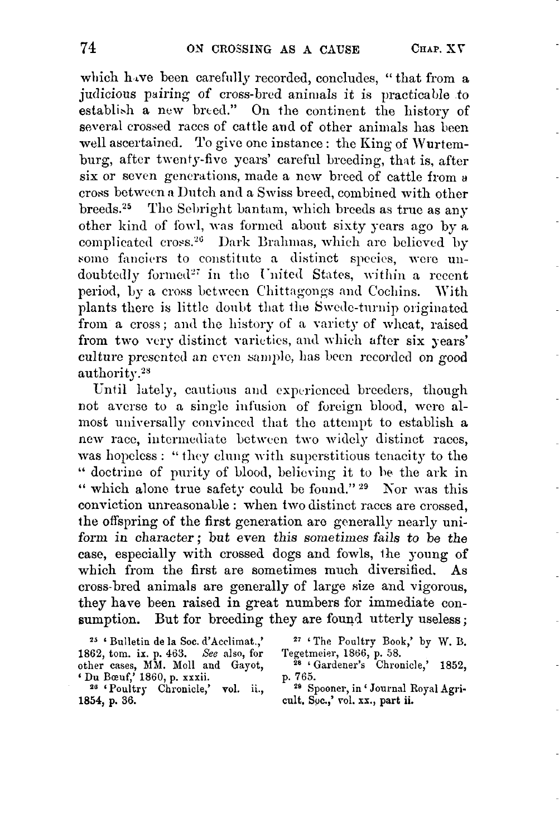which have been carefully recorded, concludes, "that from a judicious pairing of cross-bred animals it is practicable to establish a new breed." On the continent the history of several crossed races of cattle and of other animals has been well ascertained. To give one instance: the King of Wurtemburg, after twenty-five years' careful breeding, that is, after six or seven generations, made a new breed of cattle from a cross between Dutch and a Swiss breed, combined with other breeds.25 Tlic Schiglit bantam, which breeds as true **as** any other kind of fowl, was formed about sixty years ago by a. complicated cross.<sup>26</sup> Dark Brahmas, which are believed by some fanciers to constitute a distinct species, were undoubtedly formed<sup>27</sup> in the United States, within a recent period, by a cross between Chittagongs and Cochins. With plants there is little doubt that the Swede-turnip originated from a cross; and the history of a variety of wheat, raised from two very distinct varieties, and which after six years' culture presented an even sample, has been recorded on good authority.2s

Until lately, cautious and experienced breeders, though not averse to a single infusion of foreign blood, were almost universally convinced that the attempt to establish a new race, intermediate between two widely distinct races, was hopeless: "they clung with superstitious tenacity to the " doctrine of purity of blood, believing it to he the ark in " which alone true safety could be found." <sup>29</sup> Nor was this conviction unrcasonable : when two distinct races are crossed, the offspring of the first generation are generally nearly uniform in character; but even this sometimes fails to be the case, especially with crossed dogs and fowls, Ihe young of which from the first are sometimes much diversified. **As**  cross-bred animals are generally of large size and vigorous, they have been raised in great numbers for immediate consumption. But for breeding they are found utterly useless;

**<sup>25</sup>**' **Bulletin de la** *SOC.* **d'Acclimat.,' 1862, tom. ix. p. 463.** See also, for **other cases, MM. Moll and Gayot, 28 'Gardener's Chronicle,' 1852,** 

**1854, p. 36.** 

**<sup>27</sup>**' **The Poultry Book,' by W. B.**  Tegetmeier, 1866, p. 58.<br><sup>28</sup> 'Gardener's Chronicle,' 1852,

**20** ' **Poultry Chronicle,' vol. ii., Spooner, in** ' **Journal Royal Agri-Du Bczuf,' 1860, p. xxxii. cult, Soc.,'** rol. **xs., part ii.** 

p. 765.<br><sup>29</sup> Spooner, in 'Journal Royal Agri-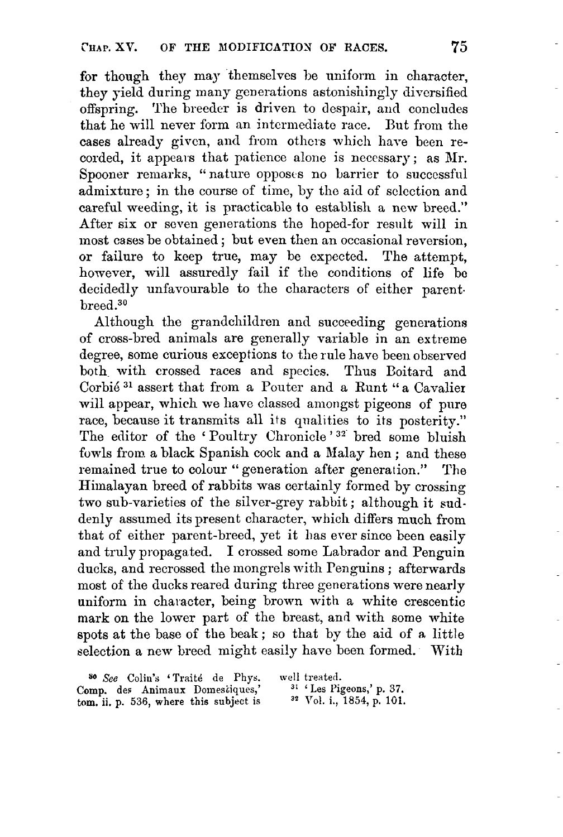for though they may themselves be uniform in character. they yield during many generations astonishingly diversified offspring. The breeder is driven to dcspair, **arid** concludes that he will never form an intermediate race. But from the cases already given, and from othcis which hare been recorded, it appears that patience alone is necessary; as Mr. Spooner remarks, "nature opposes no barrier to successful admixture ; in the course of time, by the aid of sclcction and careful weeding, it is practicable to establish a ncw breed." After six or seven generations the hoped-for result will in most cases be obtained ; but even then an occasional reversion, or failure to keep true, may be expected. The attempt, however, will assuredly fail if the conditions of life be decidedly unfavourable to the characters of either parent. breed.30

Although the grandchildren and succeeding generations of cross-bred animals are generally variable in an extreme degree, some curious exceptions to the rule have been obsened both with crossed races and species. Thus Boitard and Corbié<sup>31</sup> assert that from a Pouter and a Runt "a Cavalier will appear, which we have classed amongst pigeons of pure race, because it transmits all its qualities to its posterity." The editor of the 'Poultry Chronicle'<sup>32</sup> bred some bluish fowls from a black Spanish cock and a Malay hen ; and these remained true to colour " generation after generation." The Himalayan breed of rabbits was certainly formed by crossing two sub-varieties of the silver-grey rabbit ; although it suddenly assumed its present character, which differs much from that of either parent-breed, yet it **lias** ever since been easily and truly propagated. I crossed some Labrador and Penguin ducks, and recrossed the mongrels with Penguins ; afterwards most of the ducks reared during three generations were nearly uniform in character, being brown with a white crescentic mark on the lower part of the breast, and with some white spots at the base of the beak; so that by the aid of **n** little selection a new breed might easily have been formed. With

<sup>30</sup> *See* Colin's 'Traité de Phys. well treated.<br> **omp.** des Animaux Domestiques,' <sup>31</sup> 'Les Pigeons,' p. 37. **Comp.** des Animaux Domesciques,' <sup>31</sup> ' Les Pigeons,' p. 37.<br>
tom. ii. p. 536. where this subject is <sup>32</sup> Vol. i., 1854, p. 101.  $\tan$ , **ii.** p. 536, where this subject is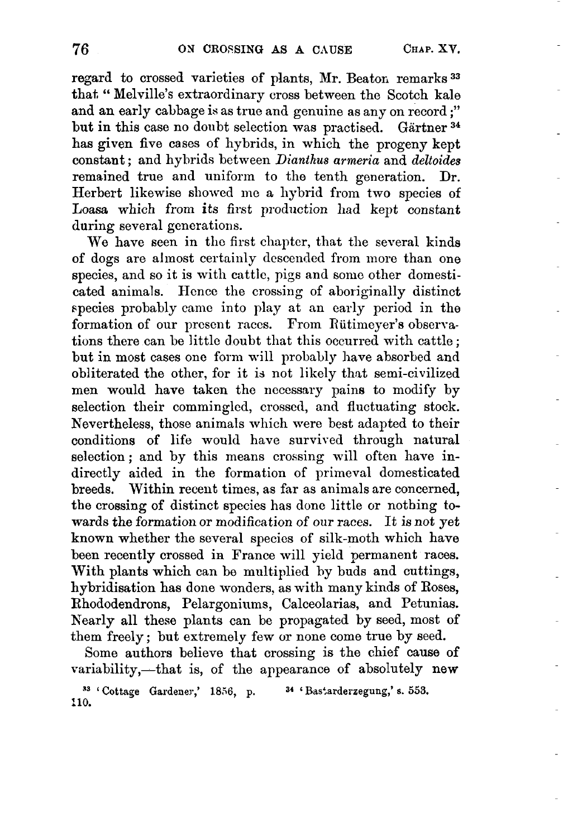regard to crossed varieties of plants, Mr. Beator, remarks **<sup>33</sup>** that. " Melville's extraordinary cross between the Scotch kale and an early cabbage is as true and genuine as any on record ;" but in this case no doubt selection was practised. Gartner **3\***  has given five cases of hybrids, in which the progeny kept constant ; and hybrids between *Dianthus arineria* and *deltoides*  remained true and uniform to the tenth generation. Dr. Herbert likewise showed me a hybrid from two species of Loasa which from its first production had kept constant during several generations.

We have seen in the first chapter, that the several kinds of dogs are almost certainly descended from more than one species, and so it is with cattlc, pigs and some other domesticated animals. Hence the crossing of aboriginally distinct species probably camc into play at an early period in the formation of our present races. From Rütimeyer's observations there can be little doubt that this occurred with cattle ; but in most cases one form will probably have absorbed and obliterated the other, for it is not likely that semi-civilized men would have taken the necessary pains to modify by selection their commingled, crossed, and fluctuating stock. Nevertheless, those animals which were best adapted to their conditions of life would have survived through natural selection; and by this means crossing will often have indirectly aided in the formation of primeval domesticated breeds, Within recent times, as far as animals are concerned, the crossing of distinct species has done little or nothing towards the formation or modification of our races. It is not yet known whether the several specics of silk-moth which have been recently crossed in France will yield permanent races. With plants which can be multiplied by buds and cuttings, hybridisation has done wonders. as with many kinds of Roses, Rhododendrons, Pelargoninms, Calceolarias, and Petunias. h'early all these plants can be propagated by seed, most **of**  them freely ; but extremely few or none come true by seed.

Some authors believe that crossing is the chief cause of variability,-that is, of the appearance of absolutely new

**<sup>33</sup>**' **Cottage Gardener,' 1856, p. 34** ' **Bastarderzegung,' 8. 553. 110.**